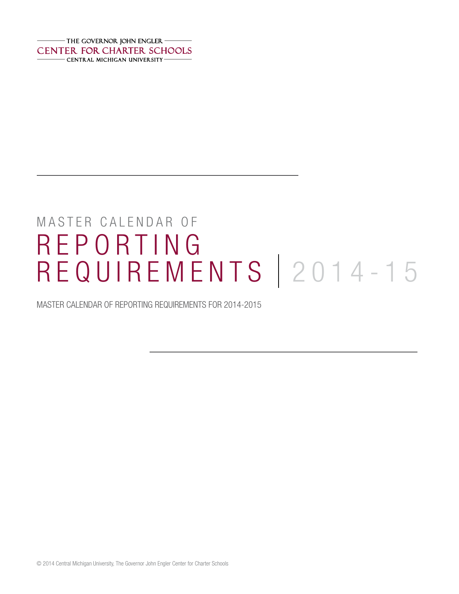$-$  THE GOVERNOR JOHN ENGLER  $-$ **CENTER FOR CHARTER SCHOOLS** - CENTRAL MICHIGAN UNIVERSITY -

# MASTER CALENDAR OF REPORTING REQUIREMENTS | 2014-15

MASTER CALENDAR OF REPORTING REQUIREMENTS FOR 2014-2015

© 2014 Central Michigan University, The Governor John Engler Center for Charter Schools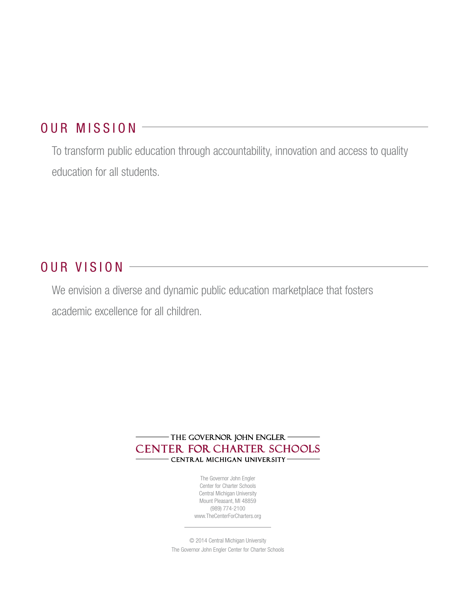# OUR MISSION

To transform public education through accountability, innovation and access to quality education for all students.

## OUR VISION

We envision a diverse and dynamic public education marketplace that fosters academic excellence for all children.

> - THE GOVERNOR JOHN ENGLER -**CENTER FOR CHARTER SCHOOLS** - CENTRAL MICHIGAN UNIVERSITY-

> > The Governor John Engler Center for Charter Schools Central Michigan University Mount Pleasant, MI 48859 (989) 774-2100 <www.TheCenterForCharters.org>

© 2014 Central Michigan University The Governor John Engler Center for Charter Schools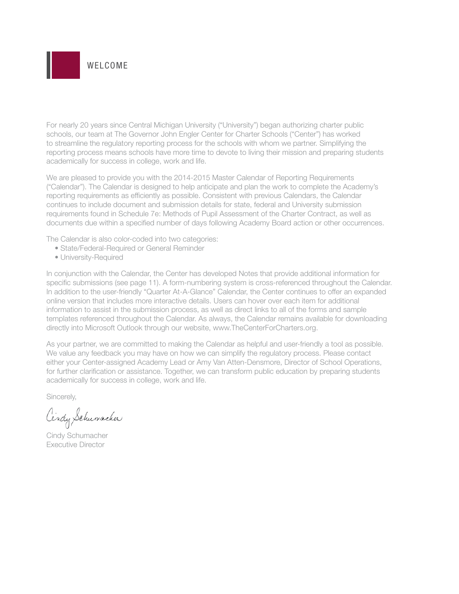

For nearly 20 years since Central Michigan University ("University") began authorizing charter public schools, our team at The Governor John Engler Center for Charter Schools ("Center") has worked to streamline the regulatory reporting process for the schools with whom we partner. Simplifying the reporting process means schools have more time to devote to living their mission and preparing students academically for success in college, work and life.

We are pleased to provide you with the 2014-2015 Master Calendar of Reporting Requirements ("Calendar"). The Calendar is designed to help anticipate and plan the work to complete the Academy's reporting requirements as efficiently as possible. Consistent with previous Calendars, the Calendar continues to include document and submission details for state, federal and University submission requirements found in Schedule 7e: Methods of Pupil Assessment of the Charter Contract, as well as documents due within a specified number of days following Academy Board action or other occurrences.

The Calendar is also color-coded into two categories:

- State/Federal-Required or General Reminder
- University-Required

In conjunction with the Calendar, the Center has developed Notes that provide additional information for specific submissions (see page 11). A form-numbering system is cross-referenced throughout the Calendar. In addition to the user-friendly "Quarter At-A-Glance" Calendar, the Center continues to offer an expanded online version that includes more interactive details. Users can hover over each item for additional information to assist in the submission process, as well as direct links to all of the forms and sample templates referenced throughout the Calendar. As always, the Calendar remains available for downloading directly into Microsoft Outlook through our website, www.TheCenterForCharters.org.

As your partner, we are committed to making the Calendar as helpful and user-friendly a tool as possible. We value any feedback you may have on how we can simplify the regulatory process. Please contact either your Center-assigned Academy Lead or Amy Van Atten-Densmore, Director of School Operations, for further clarification or assistance. Together, we can transform public education by preparing students academically for success in college, work and life.

Sincerely,

Cindy Schumacher

Cindy Schumacher Executive Director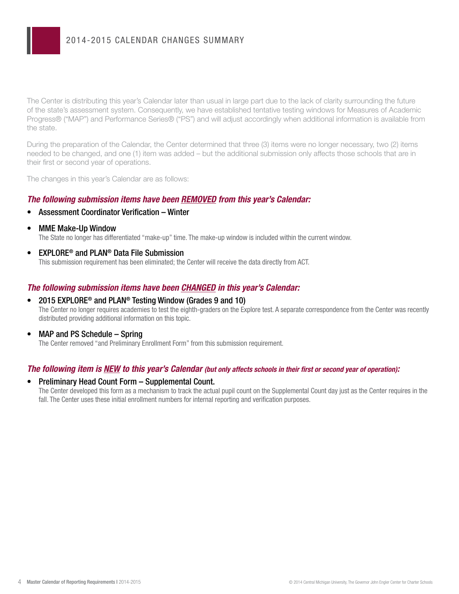The Center is distributing this year's Calendar later than usual in large part due to the lack of clarity surrounding the future of the state's assessment system. Consequently, we have established tentative testing windows for Measures of Academic Progress® ("MAP") and Performance Series® ("PS") and will adjust accordingly when additional information is available from the state.

During the preparation of the Calendar, the Center determined that three (3) items were no longer necessary, two (2) items needed to be changed, and one (1) item was added – but the additional submission only affects those schools that are in their first or second year of operations.

The changes in this year's Calendar are as follows:

#### *The following submission items have been REMOVED from this year's Calendar:*

- Assessment Coordinator Verification Winter
- MME Make-Up Window

The State no longer has differentiated "make-up" time. The make-up window is included within the current window.

• **EXPLORE®** and PLAN<sup>®</sup> Data File Submission This submission requirement has been eliminated; the Center will receive the data directly from ACT.

#### *The following submission items have been CHANGED in this year's Calendar:*

- 2015 EXPLORE<sup>®</sup> and PLAN<sup>®</sup> Testing Window (Grades 9 and 10) The Center no longer requires academies to test the eighth-graders on the Explore test. A separate correspondence from the Center was recently distributed providing additional information on this topic.
- MAP and PS Schedule Spring

The Center removed "and Preliminary Enrollment Form" from this submission requirement.

#### *The following item is NEW to this year's Calendar (but only affects schools in their first or second year of operation):*

### • Preliminary Head Count Form – Supplemental Count.

The Center developed this form as a mechanism to track the actual pupil count on the Supplemental Count day just as the Center requires in the fall. The Center uses these initial enrollment numbers for internal reporting and verification purposes.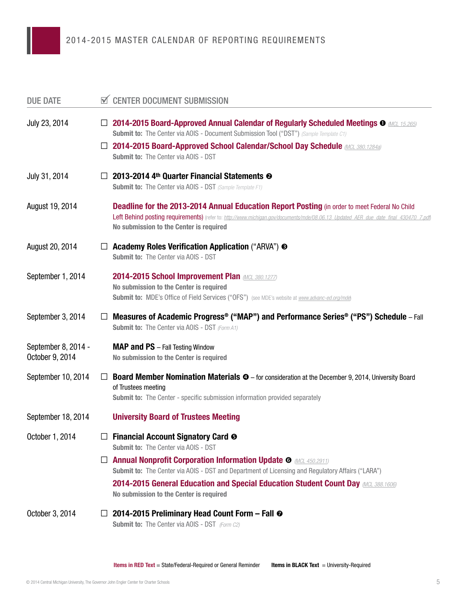| <b>DUE DATE</b>                        |         | <b>N</b> CENTER DOCUMENT SUBMISSION                                                                                                                                                                                                                                                    |
|----------------------------------------|---------|----------------------------------------------------------------------------------------------------------------------------------------------------------------------------------------------------------------------------------------------------------------------------------------|
| July 23, 2014                          |         | $\square$ 2014-2015 Board-Approved Annual Calendar of Regularly Scheduled Meetings $\bullet$ MCL 15.265<br>Submit to: The Center via AOIS - Document Submission Tool ("DST") (Sample Template C1)<br>□ 2014-2015 Board-Approved School Calendar/School Day Schedule MCL 380.1284a)     |
|                                        |         | Submit to: The Center via AOIS - DST                                                                                                                                                                                                                                                   |
| July 31, 2014                          | $\perp$ | 2013-2014 4th Quarter Financial Statements <sup>®</sup><br><b>Submit to:</b> The Center via AOIS - DST (Sample Template F1)                                                                                                                                                            |
| August 19, 2014                        |         | <b>Deadline for the 2013-2014 Annual Education Report Posting (in order to meet Federal No Child</b><br>Left Behind posting requirements) (refer to: http://www.michigan.gov/documents/mde/08.06.13 Updated AER due date final 430470 7.pdf<br>No submission to the Center is required |
| August 20, 2014                        | ⊔       | Academy Roles Verification Application ("ARVA") <b> S</b><br>Submit to: The Center via AOIS - DST                                                                                                                                                                                      |
| September 1, 2014                      |         | 2014-2015 School Improvement Plan <i>(MCL 380.1277</i> )<br>No submission to the Center is required<br><b>Submit to:</b> MDE's Office of Field Services ("OFS") (see MDE's website at <i>www.advanc-ed.org/mde</i> )                                                                   |
| September 3, 2014                      | Ц       | <b>Measures of Academic Progress® ("MAP") and Performance Series® ("PS") Schedule</b> – Fall<br><b>Submit to:</b> The Center via AOIS - DST (Form A1)                                                                                                                                  |
| September 8, 2014 -<br>October 9, 2014 |         | <b>MAP and PS</b> - Fall Testing Window<br>No submission to the Center is required                                                                                                                                                                                                     |
| September 10, 2014                     | $\perp$ | <b>Board Member Nomination Materials <math>\Phi</math></b> – for consideration at the December 9, 2014, University Board<br>of Trustees meeting<br><b>Submit to:</b> The Center - specific submission information provided separately                                                  |
| September 18, 2014                     |         | <b>University Board of Trustees Meeting</b>                                                                                                                                                                                                                                            |
| October 1, 2014                        |         | $\Box$ Financial Account Signatory Card $\odot$<br><b>Submit to: The Center via AOIS - DST</b>                                                                                                                                                                                         |
|                                        | ⊔       | <b>Annual Nonprofit Corporation Information Update O MOL 450.2911)</b><br>Submit to: The Center via AOIS - DST and Department of Licensing and Regulatory Affairs ("LARA")                                                                                                             |
|                                        |         | <b>2014-2015 General Education and Special Education Student Count Day MCL 388.1606)</b><br>No submission to the Center is required                                                                                                                                                    |
| October 3, 2014                        | ப       | 2014-2015 Preliminary Head Count Form – Fall ⊘<br><b>Submit to:</b> The Center via AOIS - DST (Form C2)                                                                                                                                                                                |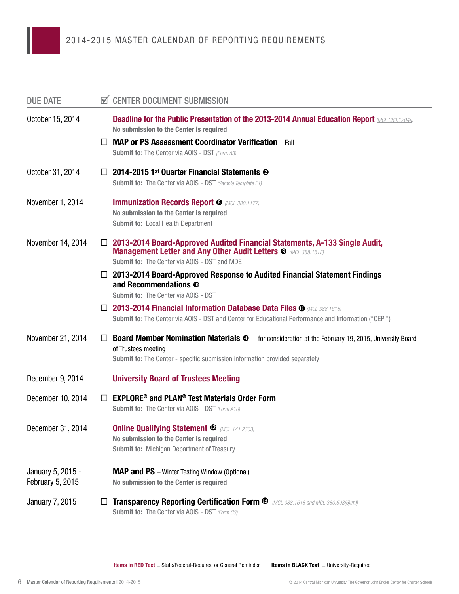| <b>DUE DATE</b>                       |         | <b>CENTER DOCUMENT SUBMISSION</b>                                                                                                                                                                                                      |
|---------------------------------------|---------|----------------------------------------------------------------------------------------------------------------------------------------------------------------------------------------------------------------------------------------|
| October 15, 2014                      |         | <b>Deadline for the Public Presentation of the 2013-2014 Annual Education Report <i>MCL 380.1204a</i></b><br>No submission to the Center is required                                                                                   |
|                                       | $\perp$ | <b>MAP or PS Assessment Coordinator Verification</b> - Fall<br><b>Submit to:</b> The Center via AOIS - DST (Form A3)                                                                                                                   |
| October 31, 2014                      | $\perp$ | 2014-2015 1st Quarter Financial Statements <sup>®</sup><br><b>Submit to:</b> The Center via AOIS - DST (Sample Template F1)                                                                                                            |
| November 1, 2014                      |         | <b>Immunization Records Report @ MCL 380.1177)</b><br>No submission to the Center is required<br><b>Submit to: Local Health Department</b>                                                                                             |
| November 14, 2014                     | $\Box$  | 2013-2014 Board-Approved Audited Financial Statements, A-133 Single Audit,<br><b>Management Letter and Any Other Audit Letters O MOL 388.1618)</b><br><b>Submit to: The Center via AOIS - DST and MDE</b>                              |
|                                       |         | 2013-2014 Board-Approved Response to Audited Financial Statement Findings<br>and Recommendations ®<br><b>Submit to: The Center via AOIS - DST</b>                                                                                      |
|                                       |         | <b>2013-2014 Financial Information Database Data Files <math>\Phi</math> (MCL 388.1618)</b><br>Submit to: The Center via AOIS - DST and Center for Educational Performance and Information ("CEPI")                                    |
| November 21, 2014                     | $\Box$  | <b>Board Member Nomination Materials <math>\Phi</math></b> – for consideration at the February 19, 2015, University Board<br>of Trustees meeting<br><b>Submit to:</b> The Center - specific submission information provided separately |
| December 9, 2014                      |         | <b>University Board of Trustees Meeting</b>                                                                                                                                                                                            |
| December 10, 2014                     | $\perp$ | <b>EXPLORE<sup>®</sup> and PLAN<sup>®</sup> Test Materials Order Form</b><br><b>Submit to:</b> The Center via AOIS - DST (Form A10)                                                                                                    |
| December 31, 2014                     |         | <b>Online Qualifying Statement <sup><i>D</i></sup> <i>MCL 141.2303</i></b><br>No submission to the Center is required<br><b>Submit to: Michigan Department of Treasury</b>                                                             |
| January 5, 2015 -<br>February 5, 2015 |         | <b>MAP and PS</b> - Winter Testing Window (Optional)<br>No submission to the Center is required                                                                                                                                        |
| <b>January 7, 2015</b>                |         | <b>Transparency Reporting Certification Form ®</b> <i>MCL 388.1618 and MCL 380.503(6)(m))</i><br><b>Submit to:</b> The Center via AOIS - DST (Form C3)                                                                                 |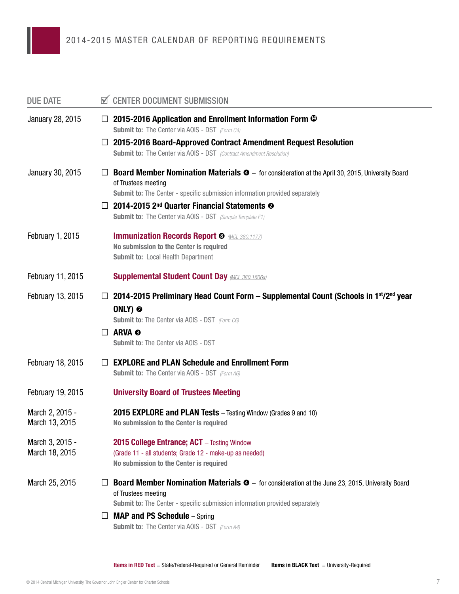| <b>DUE DATE</b>                   | <b>CENTER DOCUMENT SUBMISSION</b>                                                                                                                                                                                                     |  |
|-----------------------------------|---------------------------------------------------------------------------------------------------------------------------------------------------------------------------------------------------------------------------------------|--|
| January 28, 2015                  | 2015-2016 Application and Enrollment Information Form <sup>®</sup><br>⊔<br><b>Submit to:</b> The Center via AOIS - DST (Form C4)                                                                                                      |  |
|                                   | 2015-2016 Board-Approved Contract Amendment Request Resolution<br>ப<br><b>Submit to:</b> The Center via AOIS - DST (Contract Amendment Resolution)                                                                                    |  |
| January 30, 2015                  | <b>Board Member Nomination Materials <math>\Phi</math></b> – for consideration at the April 30, 2015, University Board<br>$\perp$<br>of Trustees meeting                                                                              |  |
|                                   | <b>Submit to:</b> The Center - specific submission information provided separately                                                                                                                                                    |  |
|                                   | 2014-2015 2 <sup>nd</sup> Quarter Financial Statements <sup>®</sup><br>ப<br><b>Submit to:</b> The Center via AOIS - DST (Sample Template F1)                                                                                          |  |
| February 1, 2015                  | <b>Immunization Records Report <sup>®</sup> MCL 380.1177</b><br>No submission to the Center is required<br><b>Submit to: Local Health Department</b>                                                                                  |  |
| February 11, 2015                 | <b>Supplemental Student Count Day (MCL 380.1606a)</b>                                                                                                                                                                                 |  |
| February 13, 2015                 | 2014-2015 Preliminary Head Count Form – Supplemental Count (Schools in 1st/2nd year<br>⊔<br>ONLY) <sup>®</sup><br><b>Submit to:</b> The Center via AOIS - DST (Form C6)                                                               |  |
|                                   | ARVA <sup>®</sup><br>$\perp$<br><b>Submit to: The Center via AOIS - DST</b>                                                                                                                                                           |  |
| February 18, 2015                 | <b>EXPLORE and PLAN Schedule and Enrollment Form</b><br>$\perp$<br><b>Submit to:</b> The Center via AOIS - DST (Form A6)                                                                                                              |  |
| February 19, 2015                 | <b>University Board of Trustees Meeting</b>                                                                                                                                                                                           |  |
| March 2, 2015 -<br>March 13, 2015 | 2015 EXPLORE and PLAN Tests - Testing Window (Grades 9 and 10)<br>No submission to the Center is required                                                                                                                             |  |
| March 3, 2015 -<br>March 18, 2015 | 2015 College Entrance; ACT - Testing Window<br>(Grade 11 - all students; Grade 12 - make-up as needed)<br>No submission to the Center is required                                                                                     |  |
| March 25, 2015                    | <b>Board Member Nomination Materials <math>\bullet</math></b> - for consideration at the June 23, 2015, University Board<br>of Trustees meeting<br><b>Submit to:</b> The Center - specific submission information provided separately |  |
|                                   | <b>MAP and PS Schedule</b> - Spring<br>⊔<br><b>Submit to:</b> The Center via AOIS - DST (Form A4)                                                                                                                                     |  |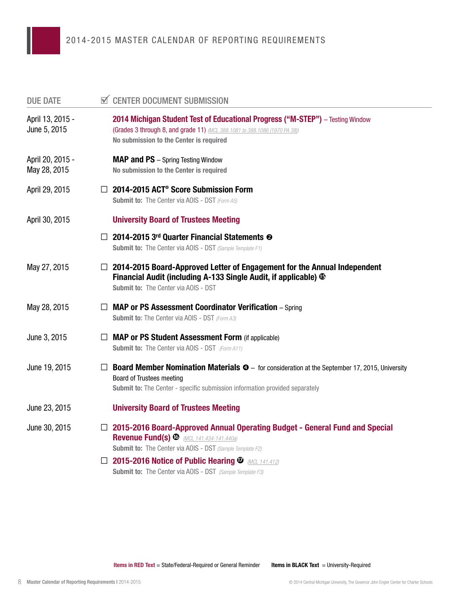| <b>DUE DATE</b>                  |         | <b>☑ CENTER DOCUMENT SUBMISSION</b>                                                                                                                                                                                                     |
|----------------------------------|---------|-----------------------------------------------------------------------------------------------------------------------------------------------------------------------------------------------------------------------------------------|
| April 13, 2015 -<br>June 5, 2015 |         | 2014 Michigan Student Test of Educational Progress ("M-STEP") - Testing Window<br>(Grades 3 through 8, and grade 11) (MCL 388.1081 to 388.1086 (1970 PA 38))<br>No submission to the Center is required                                 |
| April 20, 2015 -<br>May 28, 2015 |         | <b>MAP and PS</b> - Spring Testing Window<br>No submission to the Center is required                                                                                                                                                    |
| April 29, 2015                   |         | $\Box$ 2014-2015 ACT <sup>®</sup> Score Submission Form<br><b>Submit to:</b> The Center via AOIS - DST (Form A5)                                                                                                                        |
| April 30, 2015                   |         | <b>University Board of Trustees Meeting</b>                                                                                                                                                                                             |
|                                  |         | 2014-2015 3rd Quarter Financial Statements <sup>®</sup><br><b>Submit to:</b> The Center via AOIS - DST (Sample Template F1)                                                                                                             |
| May 27, 2015                     |         | 2014-2015 Board-Approved Letter of Engagement for the Annual Independent<br>Financial Audit (including A-133 Single Audit, if applicable) $\Phi$<br><b>Submit to: The Center via AOIS - DST</b>                                         |
| May 28, 2015                     | $\perp$ | <b>MAP or PS Assessment Coordinator Verification</b> – Spring<br><b>Submit to:</b> The Center via AOIS - DST (Form A3)                                                                                                                  |
| June 3, 2015                     | $\Box$  | <b>MAP or PS Student Assessment Form (if applicable)</b><br><b>Submit to:</b> The Center via AOIS - DST (Form A11)                                                                                                                      |
| June 19, 2015                    |         | <b>Board Member Nomination Materials <math>\Phi</math></b> – for consideration at the September 17, 2015, University<br><b>Board of Trustees meeting</b><br>Submit to: The Center - specific submission information provided separately |
| June 23, 2015                    |         | <b>University Board of Trustees Meeting</b>                                                                                                                                                                                             |
| June 30, 2015                    |         | $\Box$ 2015-2016 Board-Approved Annual Operating Budget - General Fund and Special<br><b>Revenue Fund(s) ®</b> (MCL 141.434-141.440a)<br><b>Submit to:</b> The Center via AOIS - DST (Sample Template F2)                               |
|                                  |         | <b>2015-2016 Notice of Public Hearing <math>\Phi</math></b> <i>MCL 141.412</i><br><b>Submit to:</b> The Center via AOIS - DST (Sample Template F3)                                                                                      |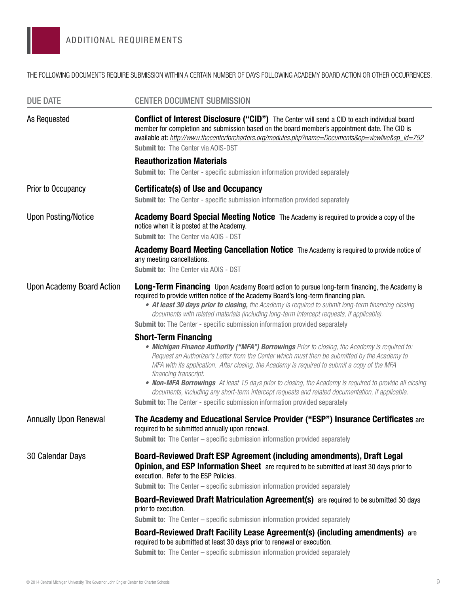THE FOLLOWING DOCUMENTS REQUIRE SUBMISSION WITHIN A CERTAIN NUMBER OF DAYS FOLLOWING ACADEMY BOARD ACTION OR OTHER OCCURRENCES.

| <b>CENTER DOCUMENT SUBMISSION</b>                                                                                                                                                                                                                                                                                                                                                                                                                                           |
|-----------------------------------------------------------------------------------------------------------------------------------------------------------------------------------------------------------------------------------------------------------------------------------------------------------------------------------------------------------------------------------------------------------------------------------------------------------------------------|
| <b>Conflict of Interest Disclosure ("CID")</b> The Center will send a CID to each individual board<br>member for completion and submission based on the board member's appointment date. The CID is<br>available at: http://www.thecenterforcharters.org/modules.php?name=Documents&op=viewlive&sp_id=752<br><b>Submit to: The Center via AOIS-DST</b>                                                                                                                      |
| <b>Reauthorization Materials</b>                                                                                                                                                                                                                                                                                                                                                                                                                                            |
| <b>Submit to:</b> The Center - specific submission information provided separately                                                                                                                                                                                                                                                                                                                                                                                          |
| <b>Certificate(s) of Use and Occupancy</b>                                                                                                                                                                                                                                                                                                                                                                                                                                  |
| <b>Submit to:</b> The Center - specific submission information provided separately                                                                                                                                                                                                                                                                                                                                                                                          |
| <b>Academy Board Special Meeting Notice</b> The Academy is required to provide a copy of the<br>notice when it is posted at the Academy.<br><b>Submit to: The Center via AOIS - DST</b>                                                                                                                                                                                                                                                                                     |
| Academy Board Meeting Cancellation Notice The Academy is required to provide notice of                                                                                                                                                                                                                                                                                                                                                                                      |
| any meeting cancellations.                                                                                                                                                                                                                                                                                                                                                                                                                                                  |
| Submit to: The Center via AOIS - DST                                                                                                                                                                                                                                                                                                                                                                                                                                        |
| Long-Term Financing Upon Academy Board action to pursue long-term financing, the Academy is<br>required to provide written notice of the Academy Board's long-term financing plan.<br>• At least 30 days prior to closing, the Academy is required to submit long-term financing closing<br>documents with related materials (including long-term intercept requests, if applicable).<br><b>Submit to:</b> The Center - specific submission information provided separately |
| <b>Short-Term Financing</b><br>• Michigan Finance Authority ("MFA") Borrowings Prior to closing, the Academy is required to:<br>Request an Authorizer's Letter from the Center which must then be submitted by the Academy to<br>MFA with its application. After closing, the Academy is required to submit a copy of the MFA<br>financing transcript.                                                                                                                      |
| • Non-MFA Borrowings At least 15 days prior to closing, the Academy is required to provide all closing<br>documents, including any short-term intercept requests and related documentation, if applicable.                                                                                                                                                                                                                                                                  |
| <b>Submit to:</b> The Center - specific submission information provided separately                                                                                                                                                                                                                                                                                                                                                                                          |
| The Academy and Educational Service Provider ("ESP") Insurance Certificates are<br>required to be submitted annually upon renewal.                                                                                                                                                                                                                                                                                                                                          |
| <b>Submit to:</b> The Center – specific submission information provided separately                                                                                                                                                                                                                                                                                                                                                                                          |
| Board-Reviewed Draft ESP Agreement (including amendments), Draft Legal<br><b>Opinion, and ESP Information Sheet</b> are required to be submitted at least 30 days prior to<br>execution. Refer to the ESP Policies.<br><b>Submit to:</b> The Center – specific submission information provided separately                                                                                                                                                                   |
| <b>Board-Reviewed Draft Matriculation Agreement(s)</b> are required to be submitted 30 days                                                                                                                                                                                                                                                                                                                                                                                 |
| prior to execution.                                                                                                                                                                                                                                                                                                                                                                                                                                                         |
| <b>Submit to:</b> The Center – specific submission information provided separately                                                                                                                                                                                                                                                                                                                                                                                          |
| <b>Board-Reviewed Draft Facility Lease Agreement(s) (including amendments)</b> are<br>required to be submitted at least 30 days prior to renewal or execution.<br><b>Submit to:</b> The Center – specific submission information provided separately                                                                                                                                                                                                                        |
|                                                                                                                                                                                                                                                                                                                                                                                                                                                                             |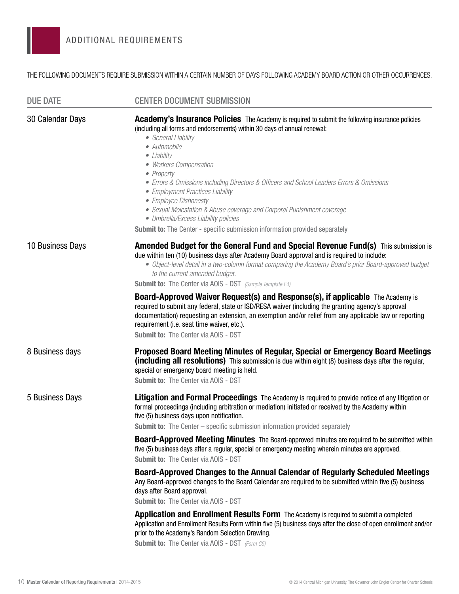THE FOLLOWING DOCUMENTS REQUIRE SUBMISSION WITHIN A CERTAIN NUMBER OF DAYS FOLLOWING ACADEMY BOARD ACTION OR OTHER OCCURRENCES.

| <b>DUE DATE</b>  | <b>CENTER DOCUMENT SUBMISSION</b>                                                                                                                                                                                                                                                                                                                                                                                                                                                                                                                                                                                                                  |
|------------------|----------------------------------------------------------------------------------------------------------------------------------------------------------------------------------------------------------------------------------------------------------------------------------------------------------------------------------------------------------------------------------------------------------------------------------------------------------------------------------------------------------------------------------------------------------------------------------------------------------------------------------------------------|
| 30 Calendar Days | <b>Academy's Insurance Policies</b> The Academy is required to submit the following insurance policies<br>(including all forms and endorsements) within 30 days of annual renewal:<br>• General Liability<br>• Automobile<br>• Liability<br>• Workers Compensation<br>• Property<br>• Errors & Omissions including Directors & Officers and School Leaders Errors & Omissions<br>• Employment Practices Liability<br>• Employee Dishonesty<br>• Sexual Molestation & Abuse coverage and Corporal Punishment coverage<br>• Umbrella/Excess Liability policies<br><b>Submit to:</b> The Center - specific submission information provided separately |
| 10 Business Days | Amended Budget for the General Fund and Special Revenue Fund(s) This submission is<br>due within ten (10) business days after Academy Board approval and is required to include:<br>· Object-level detail in a two-column format comparing the Academy Board's prior Board-approved budget<br>to the current amended budget.<br><b>Submit to:</b> The Center via AOIS - DST (Sample Template F4)                                                                                                                                                                                                                                                   |
|                  | <b>Board-Approved Waiver Request(s) and Response(s), if applicable</b> The Academy is<br>required to submit any federal, state or ISD/RESA waiver (including the granting agency's approval<br>documentation) requesting an extension, an exemption and/or relief from any applicable law or reporting<br>requirement (i.e. seat time waiver, etc.).<br><b>Submit to: The Center via AOIS - DST</b>                                                                                                                                                                                                                                                |
| 8 Business days  | Proposed Board Meeting Minutes of Regular, Special or Emergency Board Meetings<br>(including all resolutions) This submission is due within eight (8) business days after the regular,<br>special or emergency board meeting is held.<br><b>Submit to: The Center via AOIS - DST</b>                                                                                                                                                                                                                                                                                                                                                               |
| 5 Business Days  | Litigation and Formal Proceedings The Academy is required to provide notice of any litigation or<br>formal proceedings (including arbitration or mediation) initiated or received by the Academy within<br>five (5) business days upon notification.<br><b>Submit to:</b> The Center – specific submission information provided separately<br><b>Board-Approved Meeting Minutes</b> The Board-approved minutes are required to be submitted within<br>five (5) business days after a regular, special or emergency meeting wherein minutes are approved.<br><b>Submit to: The Center via AOIS - DST</b>                                            |
|                  | Board-Approved Changes to the Annual Calendar of Regularly Scheduled Meetings<br>Any Board-approved changes to the Board Calendar are required to be submitted within five (5) business<br>days after Board approval.<br>Submit to: The Center via AOIS - DST<br><b>Application and Enrollment Results Form</b> The Academy is required to submit a completed<br>Application and Enrollment Results Form within five (5) business days after the close of open enrollment and/or<br>prior to the Academy's Random Selection Drawing.<br><b>Submit to:</b> The Center via AOIS - DST (Form C5)                                                      |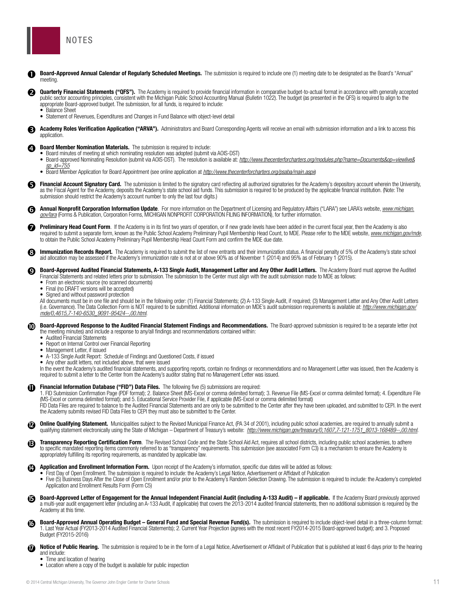<span id="page-10-0"></span>

appropriate Board-approved budget. The submission, for all funds, is required to include:

• Statement of Revenues, Expenditures and Changes in Fund Balance with object-level detail

meeting.

• Balance Sheet

application.

| Ø                     | <b>Board Member Nomination Materials.</b> The submission is required to include:<br>• Board minutes of meeting at which nominating resolution was adopted (submit via AOIS-DST)<br>• Board-approved Nominating Resolution (submit via AOIS-DST). The resolution is available at: http://www.thecenterforcharters.org/modules.php?name=Documents&op=viewlive&<br>sp id=755                                                                                                                                                                                                                                                                                                                                                                                                                                                                                                                                  |    |
|-----------------------|------------------------------------------------------------------------------------------------------------------------------------------------------------------------------------------------------------------------------------------------------------------------------------------------------------------------------------------------------------------------------------------------------------------------------------------------------------------------------------------------------------------------------------------------------------------------------------------------------------------------------------------------------------------------------------------------------------------------------------------------------------------------------------------------------------------------------------------------------------------------------------------------------------|----|
|                       | • Board Member Application for Board Appointment (see online application at http://www.thecenterforcharters.org/psaba/main.aspx)                                                                                                                                                                                                                                                                                                                                                                                                                                                                                                                                                                                                                                                                                                                                                                           |    |
| 0                     | Financial Account Signatory Card. The submission is limited to the signatory card reflecting all authorized signatories for the Academy's depository account wherein the University,<br>as the Fiscal Agent for the Academy, deposits the Academy's state school aid funds. This submission is required to be produced by the applicable financial institution. (Note: The<br>submission should restrict the Academy's account number to only the last four digits.)                                                                                                                                                                                                                                                                                                                                                                                                                                       |    |
| ❻                     | <b>Annual Nonprofit Corporation Information Update</b> . For more information on the Department of Licensing and Regulatory Affairs ("LARA") see LARA's website, <i>www.michigan.</i><br>gov/lara (Forms & Publication, Corporation Forms, MICHIGAN NONPROFIT CORPORATION FILING INFORMATION), for further information.                                                                                                                                                                                                                                                                                                                                                                                                                                                                                                                                                                                    |    |
| 0                     | Preliminary Head Count Form. If the Academy is in its first two years of operation, or if new grade levels have been added in the current fiscal year, then the Academy is also<br>required to submit a separate form, known as the Public School Academy Preliminary Pupil Membership Head Count, to MDE. Please refer to the MDE website, www.michigan.gov/mde,<br>to obtain the Public School Academy Preliminary Pupil Membership Head Count Form and confirm the MDE due date.                                                                                                                                                                                                                                                                                                                                                                                                                        |    |
| ❸                     | Immunization Records Report. The Academy is required to submit the list of new entrants and their immunization status. A financial penalty of 5% of the Academy's state school<br>aid allocation may be assessed if the Academy's immunization rate is not at or above 90% as of November 1 (2014) and 95% as of February 1 (2015).                                                                                                                                                                                                                                                                                                                                                                                                                                                                                                                                                                        |    |
| ☺                     | Board-Approved Audited Financial Statements, A-133 Single Audit, Management Letter and Any Other Audit Letters. The Academy Board must approve the Audited<br>Financial Statements and related letters prior to submission. The submission to the Center must align with the audit submission made to MDE as follows:<br>• From an electronic source (no scanned documents)<br>• Final (no DRAFT versions will be accepted)<br>• Signed and without password protection<br>All documents must be in one file and should be in the following order: (1) Financial Statements; (2) A-133 Single Audit, if required; (3) Management Letter and Any Other Audit Letters<br>(i.e. Governance). The Data Collection Form is NOT required to be submitted. Additional information on MDE's audit submission requirements is available at: http://www.michigan.gov/<br>mde/0,4615,7-140-6530_9091-95424--,00.html. |    |
| ⑩                     | Board-Approved Response to the Audited Financial Statement Findings and Recommendations. The Board-approved submission is required to be a separate letter (not<br>the meeting minutes) and include a response to any/all findings and recommendations contained within:<br>• Audited Financial Statements<br>• Report on Internal Control over Financial Reporting<br>• Management Letter, if issued<br>• A-133 Single Audit Report: Schedule of Findings and Questioned Costs, if issued<br>• Any other audit letters, not included above, that were issued<br>In the event the Academy's audited financial statements, and supporting reports, contain no findings or recommendations and no Management Letter was issued, then the Academy is<br>required to submit a letter to the Center from the Academy's auditor stating that no Management Letter was issued.                                    |    |
|                       | Financial Information Database ("FID") Data Files. The following five (5) submissions are required:<br>1. FID Submission Confirmation Page (PDF format); 2. Balance Sheet (MS-Excel or comma delimited format); 3. Revenue File (MS-Excel or comma delimited format); 4. Expenditure File<br>(MS-Excel or comma delimited format); and 5. Educational Service Provider File, if applicable (MS-Excel or comma delimited format)<br>FID Data Files are required to balance to the Audited Financial Statements and are only to be submitted to the Center after they have been uploaded, and submitted to CEPI. In the event<br>the Academy submits revised FID Data Files to CEPI they must also be submitted to the Center.                                                                                                                                                                               |    |
| Ø                     | <b>Online Qualifying Statement.</b> Municipalities subject to the Revised Municipal Finance Act, (PA 34 of 2001), including public school academies, are required to annually submit a<br>qualifying statement electronically using the State of Michigan - Department of Treasury's website: http://www.michigan.gov/treasury/0,1607,7-121-1751 8013-168489--00.html.                                                                                                                                                                                                                                                                                                                                                                                                                                                                                                                                     |    |
| ⊕                     | Transparency Reporting Certification Form. The Revised School Code and the State School Aid Act, requires all school districts, including public school academies, to adhere<br>to specific mandated reporting items commonly referred to as "transparency" requirements. This submission (see associated Form C3) is a mechanism to ensure the Academy is<br>appropriately fulfilling its reporting requirements, as mandated by applicable law.                                                                                                                                                                                                                                                                                                                                                                                                                                                          |    |
| ⊕                     | Application and Enrollment Information Form. Upon receipt of the Academy's information, specific due dates will be added as follows:<br>• First Day of Open Enrollment. The submission is required to include: the Academy's Legal Notice, Advertisement or Affidavit of Publication<br>Five (5) Business Days After the Close of Open Enrollment and/or prior to the Academy's Random Selection Drawing. The submission is required to include: the Academy's completed<br>Application and Enrollment Results Form (Form C5)                                                                                                                                                                                                                                                                                                                                                                              |    |
| ß                     | Board-Approved Letter of Engagement for the Annual Independent Financial Audit (including A-133 Audit) – if applicable. If the Academy Board previously approved<br>a multi-year audit engagement letter (including an A-133 Audit, if applicable) that covers the 2013-2014 audited financial statements, then no additional submission is required by the<br>Academy at this time.                                                                                                                                                                                                                                                                                                                                                                                                                                                                                                                       |    |
| Ø                     | Board-Approved Annual Operating Budget - General Fund and Special Revenue Fund(s). The submission is required to include object-level detail in a three-column format:<br>1. Last Year Actual (FY2013-2014 Audited Financial Statements): 2. Current Year Projection (agrees with the most recent FY2014-2015 Board-approved budget): and 3. Proposed<br>Budget (FY2015-2016)                                                                                                                                                                                                                                                                                                                                                                                                                                                                                                                              |    |
| $\boldsymbol{\varpi}$ | Notice of Public Hearing. The submission is required to be in the form of a Legal Notice. Advertisement or Affidavit of Publication that is published at least 6 days prior to the hearing<br>and include:<br>• Time and location of hearing<br>• Location where a copy of the budget is available for public inspection                                                                                                                                                                                                                                                                                                                                                                                                                                                                                                                                                                                   |    |
|                       | © 2014 Central Michigan University, The Governor John Engler Center for Charter Schools                                                                                                                                                                                                                                                                                                                                                                                                                                                                                                                                                                                                                                                                                                                                                                                                                    | 11 |

Board-Approved Annual Calendar of Regularly Scheduled Meetings. The submission is required to include one (1) meeting date to be designated as the Board's "Annual"<br>mooting

**Academy Roles Verification Application ("ARVA").** Administrators and Board Corresponding Agents will receive an email with submission information and a link to access this annication

Quarterly Financial Statements ("QFS"). The Academy is required to provide financial information in comparative budget-to-actual format in accordance with generally accepted **Quarterly Financial Statements ("QFS").** The Academy is required to provide financial information in comparative budget-to-actual format in accordance with generally accepted by public sector accounting principles, consis